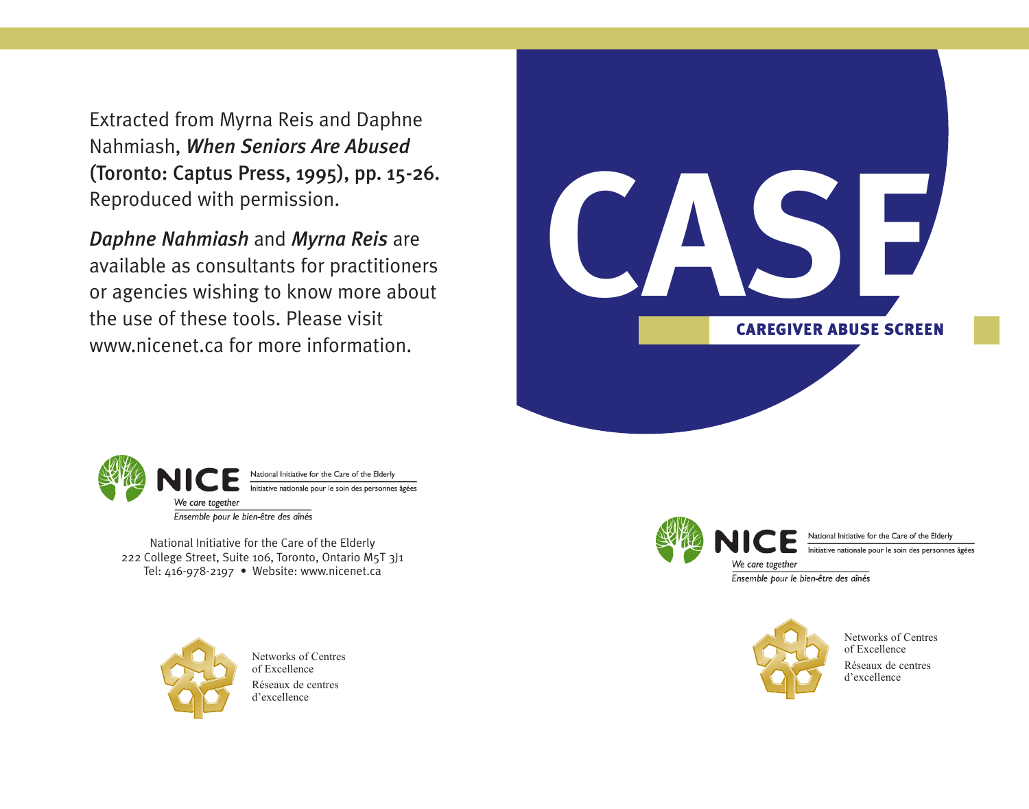Extracted from Myrna Reis and Daphne Nahmiash, *When Seniors Are Abused* (Toronto: Captus Press, 1995), pp. 15-26. Reproduced with permission.

*Daphne Nahmiash* and *Myrna Reis* are available as consultants for practitioners or agencies wishing to know more about the use of these tools. Please visit www.nicenet.ca for more information.





National Initiative for the Care of the Elderly 222 College Street, Suite 106, Toronto, Ontario M5T 3J1 Tel: 416-978-2197 • Website: www.nicenet.ca



Networks of Centres of Excellence Réseaux de centres d'excellence



National Initiative for the Care of the Elderly Initiative nationale pour le soin des personnes âgées

We care together Ensemble pour le bien-être des aînés



Networks of Centres of Excellence Réseaux de centres d'excellence